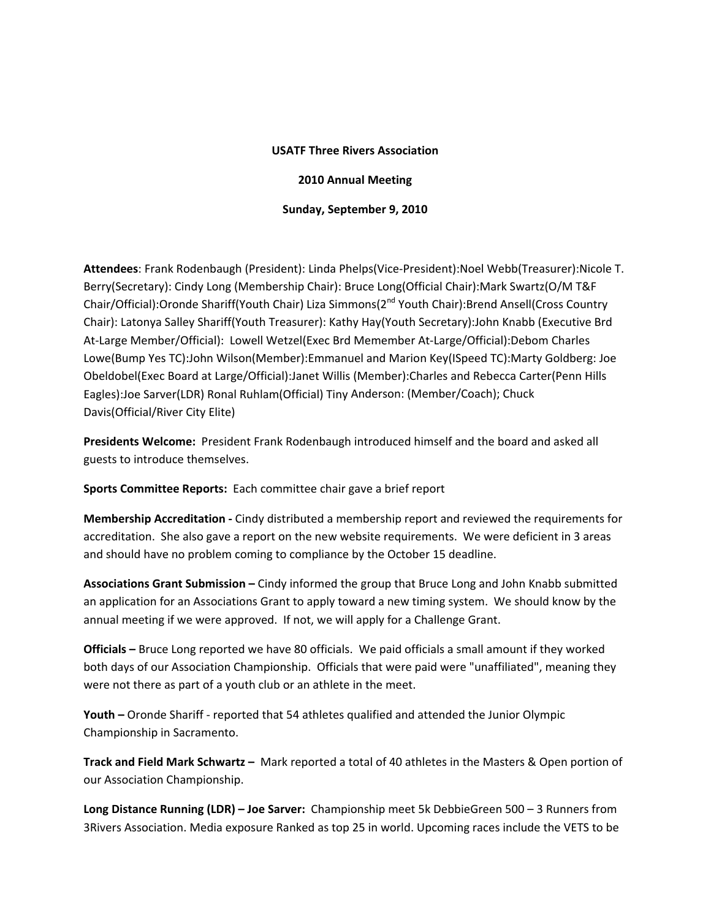## **USATF Three Rivers Association**

## **2010 Annual Meeting**

**Sunday, September 9, 2010**

**Attendees**: Frank Rodenbaugh (President): Linda Phelps(Vice‐President):Noel Webb(Treasurer):Nicole T. Berry(Secretary): Cindy Long (Membership Chair): Bruce Long(Official Chair):Mark Swartz(O/M T&F Chair/Official):Oronde Shariff(Youth Chair) Liza Simmons(2<sup>nd</sup> Youth Chair):Brend Ansell(Cross Country Chair): Latonya Salley Shariff(Youth Treasurer): Kathy Hay(Youth Secretary):John Knabb (Executive Brd At‐Large Member/Official): Lowell Wetzel(Exec Brd Memember At‐Large/Official):Debom Charles Lowe(Bump Yes TC):John Wilson(Member):Emmanuel and Marion Key(ISpeed TC):Marty Goldberg: Joe Obeldobel(Exec Board at Large/Official):Janet Willis (Member):Charles and Rebecca Carter(Penn Hills Eagles):Joe Sarver(LDR) Ronal Ruhlam(Official) Tiny Anderson: (Member/Coach); Chuck Davis(Official/River City Elite)

**Presidents Welcome:** President Frank Rodenbaugh introduced himself and the board and asked all guests to introduce themselves.

**Sports Committee Reports:** Each committee chair gave a brief report

**Membership Accreditation ‐** Cindy distributed a membership report and reviewed the requirements for accreditation. She also gave a report on the new website requirements. We were deficient in 3 areas and should have no problem coming to compliance by the October 15 deadline.

**Associations Grant Submission –** Cindy informed the group that Bruce Long and John Knabb submitted an application for an Associations Grant to apply toward a new timing system. We should know by the annual meeting if we were approved. If not, we will apply for a Challenge Grant.

**Officials –** Bruce Long reported we have 80 officials. We paid officials a small amount if they worked both days of our Association Championship. Officials that were paid were "unaffiliated", meaning they were not there as part of a youth club or an athlete in the meet.

**Youth –** Oronde Shariff ‐ reported that 54 athletes qualified and attended the Junior Olympic Championship in Sacramento.

**Track and Field Mark Schwartz –** Mark reported a total of 40 athletes in the Masters & Open portion of our Association Championship.

**Long Distance Running (LDR) – Joe Sarver:** Championship meet 5k DebbieGreen 500 – 3 Runners from 3Rivers Association. Media exposure Ranked as top 25 in world. Upcoming races include the VETS to be